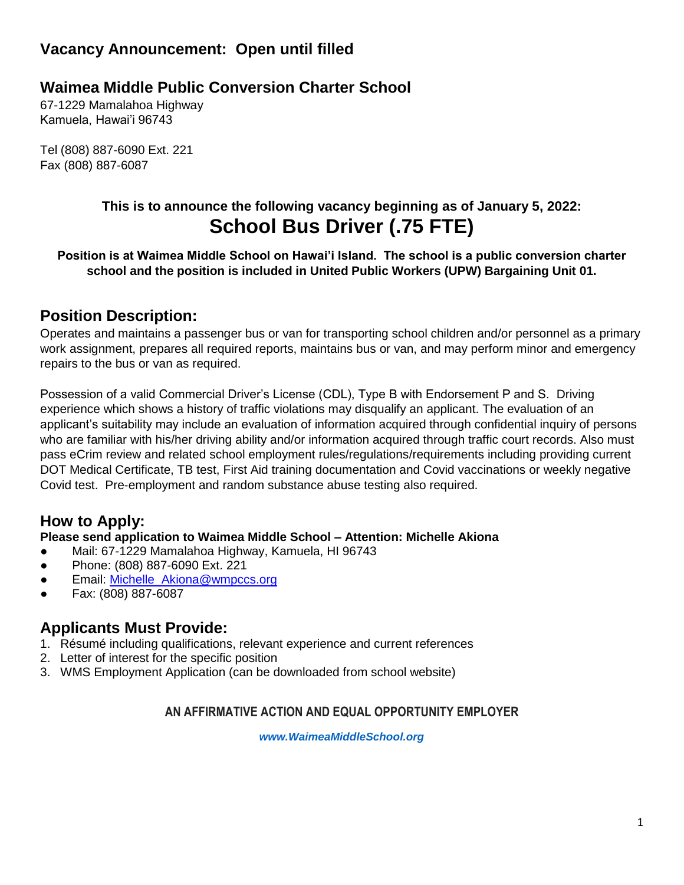# **Vacancy Announcement: Open until filled**

# **Waimea Middle Public Conversion Charter School**

67-1229 Mamalahoa Highway Kamuela, Hawai'i 96743

Tel (808) 887-6090 Ext. 221 Fax (808) 887-6087

# **This is to announce the following vacancy beginning as of January 5, 2022: School Bus Driver (.75 FTE)**

**Position is at Waimea Middle School on Hawai'i Island. The school is a public conversion charter school and the position is included in United Public Workers (UPW) Bargaining Unit 01.**

## **Position Description:**

Operates and maintains a passenger bus or van for transporting school children and/or personnel as a primary work assignment, prepares all required reports, maintains bus or van, and may perform minor and emergency repairs to the bus or van as required.

Possession of a valid Commercial Driver's License (CDL), Type B with Endorsement P and S. Driving experience which shows a history of traffic violations may disqualify an applicant. The evaluation of an applicant's suitability may include an evaluation of information acquired through confidential inquiry of persons who are familiar with his/her driving ability and/or information acquired through traffic court records. Also must pass eCrim review and related school employment rules/regulations/requirements including providing current DOT Medical Certificate, TB test, First Aid training documentation and Covid vaccinations or weekly negative Covid test. Pre-employment and random substance abuse testing also required.

## **How to Apply:**

### **Please send application to Waimea Middle School – Attention: Michelle Akiona**

- Mail: 67-1229 Mamalahoa Highway, Kamuela, HI 96743
- Phone: (808) 887-6090 Ext. 221
- Email: [Michelle\\_Akiona@wmpccs.org](mailto:Michelle_Akiona@wmpccs.org)
- Fax: (808) 887-6087

## **Applicants Must Provide:**

- 1. Résumé including qualifications, relevant experience and current references
- 2. Letter of interest for the specific position
- 3. WMS Employment Application (can be downloaded from school website)

### **AN AFFIRMATIVE ACTION AND EQUAL OPPORTUNITY EMPLOYER**

*[www.WaimeaMiddleSchool.org](http://www.waimeamiddleschool.org/)*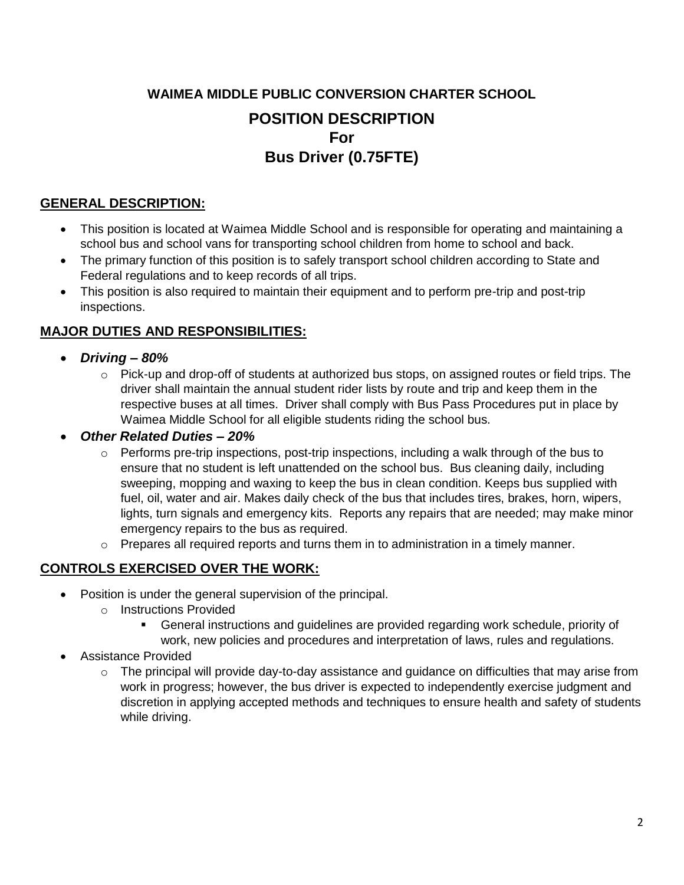# **WAIMEA MIDDLE PUBLIC CONVERSION CHARTER SCHOOL POSITION DESCRIPTION For Bus Driver (0.75FTE)**

### **GENERAL DESCRIPTION:**

- This position is located at Waimea Middle School and is responsible for operating and maintaining a school bus and school vans for transporting school children from home to school and back.
- The primary function of this position is to safely transport school children according to State and Federal regulations and to keep records of all trips.
- This position is also required to maintain their equipment and to perform pre-trip and post-trip inspections.

## **MAJOR DUTIES AND RESPONSIBILITIES:**

- *Driving – 80%*
	- $\circ$  Pick-up and drop-off of students at authorized bus stops, on assigned routes or field trips. The driver shall maintain the annual student rider lists by route and trip and keep them in the respective buses at all times. Driver shall comply with Bus Pass Procedures put in place by Waimea Middle School for all eligible students riding the school bus.

### *Other Related Duties – 20%*

- $\circ$  Performs pre-trip inspections, post-trip inspections, including a walk through of the bus to ensure that no student is left unattended on the school bus. Bus cleaning daily, including sweeping, mopping and waxing to keep the bus in clean condition. Keeps bus supplied with fuel, oil, water and air. Makes daily check of the bus that includes tires, brakes, horn, wipers, lights, turn signals and emergency kits. Reports any repairs that are needed; may make minor emergency repairs to the bus as required.
- $\circ$  Prepares all required reports and turns them in to administration in a timely manner.

### **CONTROLS EXERCISED OVER THE WORK:**

- Position is under the general supervision of the principal.
	- o Instructions Provided
		- General instructions and guidelines are provided regarding work schedule, priority of work, new policies and procedures and interpretation of laws, rules and regulations.
- Assistance Provided
	- $\circ$  The principal will provide day-to-day assistance and quidance on difficulties that may arise from work in progress; however, the bus driver is expected to independently exercise judgment and discretion in applying accepted methods and techniques to ensure health and safety of students while driving.